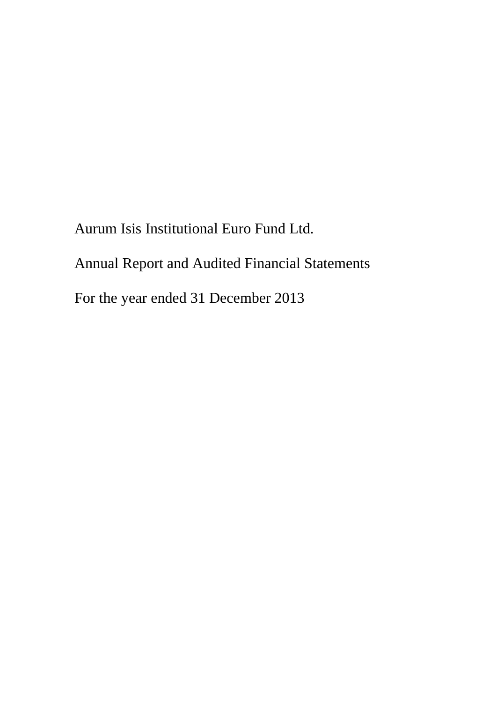Aurum Isis Institutional Euro Fund Ltd. Annual Report and Audited Financial Statements For the year ended 31 December 2013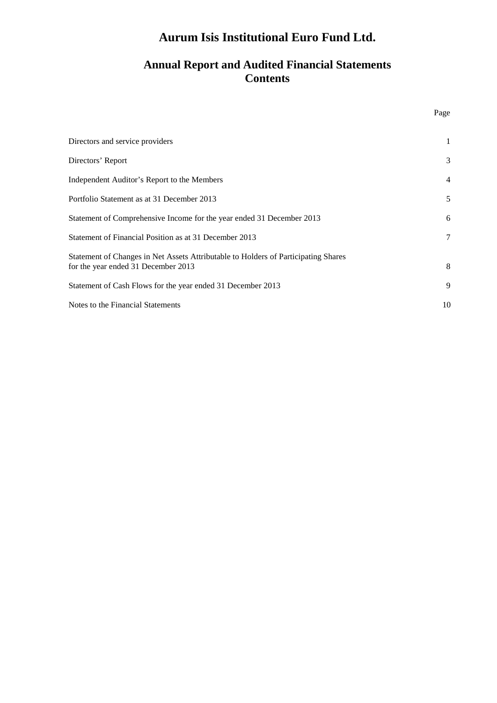## **Annual Report and Audited Financial Statements Contents**

| Directors and service providers                                                                                           | 1              |
|---------------------------------------------------------------------------------------------------------------------------|----------------|
| Directors' Report                                                                                                         | 3              |
| Independent Auditor's Report to the Members                                                                               | $\overline{4}$ |
| Portfolio Statement as at 31 December 2013                                                                                | 5              |
| Statement of Comprehensive Income for the year ended 31 December 2013                                                     | 6              |
| Statement of Financial Position as at 31 December 2013                                                                    | $\overline{7}$ |
| Statement of Changes in Net Assets Attributable to Holders of Participating Shares<br>for the year ended 31 December 2013 | 8              |
| Statement of Cash Flows for the year ended 31 December 2013                                                               | 9              |
| Notes to the Financial Statements                                                                                         | 10             |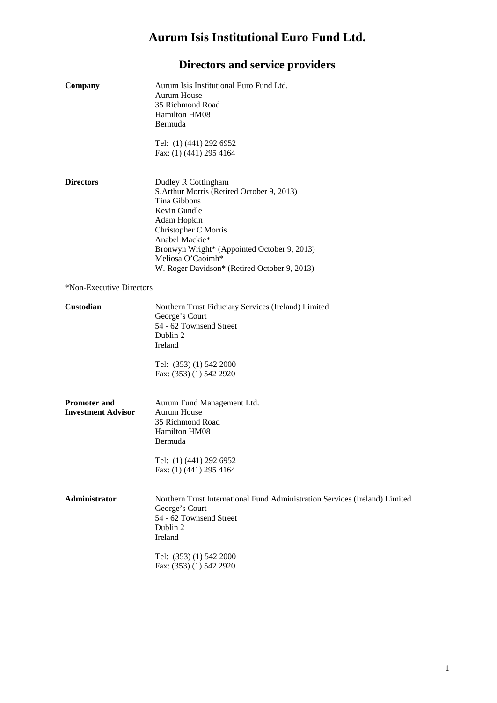# **Directors and service providers**

| Company                                          | Aurum Isis Institutional Euro Fund Ltd.<br>Aurum House<br>35 Richmond Road<br><b>Hamilton HM08</b><br>Bermuda                                                                                                                                                                  |
|--------------------------------------------------|--------------------------------------------------------------------------------------------------------------------------------------------------------------------------------------------------------------------------------------------------------------------------------|
|                                                  | Tel: (1) (441) 292 6952<br>Fax: (1) (441) 295 4164                                                                                                                                                                                                                             |
| <b>Directors</b>                                 | Dudley R Cottingham<br>S. Arthur Morris (Retired October 9, 2013)<br>Tina Gibbons<br>Kevin Gundle<br>Adam Hopkin<br>Christopher C Morris<br>Anabel Mackie*<br>Bronwyn Wright* (Appointed October 9, 2013)<br>Meliosa O'Caoimh*<br>W. Roger Davidson* (Retired October 9, 2013) |
| *Non-Executive Directors                         |                                                                                                                                                                                                                                                                                |
| <b>Custodian</b>                                 | Northern Trust Fiduciary Services (Ireland) Limited<br>George's Court<br>54 - 62 Townsend Street<br>Dublin 2<br>Ireland<br>Tel: (353) (1) 542 2000<br>Fax: (353) (1) 542 2920                                                                                                  |
| <b>Promoter and</b><br><b>Investment Advisor</b> | Aurum Fund Management Ltd.<br>Aurum House<br>35 Richmond Road<br>Hamilton HM08<br>Bermuda<br>Tel: (1) (441) 292 6952<br>Fax: (1) (441) 295 4164                                                                                                                                |
| Administrator                                    | Northern Trust International Fund Administration Services (Ireland) Limited<br>George's Court<br>54 - 62 Townsend Street<br>Dublin 2<br>Ireland<br>Tel: (353) (1) 542 2000<br>Fax: (353) (1) 542 2920                                                                          |
|                                                  |                                                                                                                                                                                                                                                                                |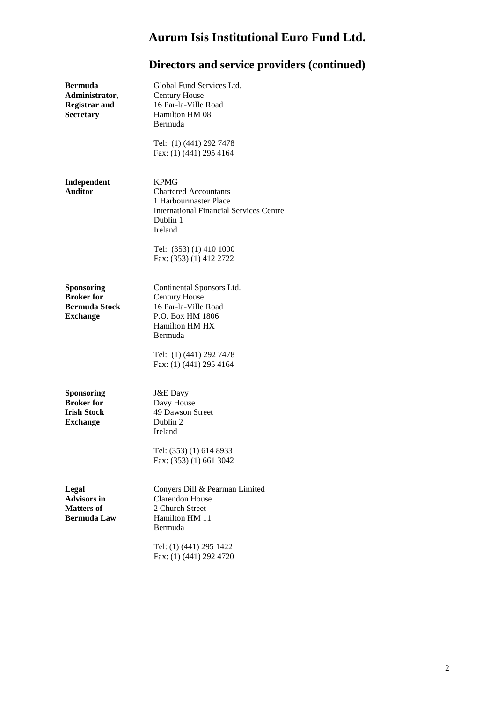| <b>Bermuda</b><br>Administrator,<br><b>Registrar and</b><br>Secretary           | Global Fund Services Ltd.<br><b>Century House</b><br>16 Par-la-Ville Road<br>Hamilton HM 08<br>Bermuda                                        |
|---------------------------------------------------------------------------------|-----------------------------------------------------------------------------------------------------------------------------------------------|
|                                                                                 | Tel: (1) (441) 292 7478<br>Fax: (1) (441) 295 4164                                                                                            |
| Independent<br><b>Auditor</b>                                                   | <b>KPMG</b><br><b>Chartered Accountants</b><br>1 Harbourmaster Place<br><b>International Financial Services Centre</b><br>Dublin 1<br>Ireland |
|                                                                                 | Tel: (353) (1) 410 1000<br>Fax: (353) (1) 412 2722                                                                                            |
| Sponsoring<br><b>Broker</b> for<br><b>Bermuda Stock</b><br><b>Exchange</b>      | Continental Sponsors Ltd.<br><b>Century House</b><br>16 Par-la-Ville Road<br>P.O. Box HM 1806<br><b>Hamilton HM HX</b><br>Bermuda             |
|                                                                                 | Tel: (1) (441) 292 7478<br>Fax: (1) (441) 295 4164                                                                                            |
| <b>Sponsoring</b><br><b>Broker</b> for<br><b>Irish Stock</b><br><b>Exchange</b> | <b>J&amp;E</b> Davy<br>Davy House<br>49 Dawson Street<br>Dublin 2<br>Ireland<br>Tel: (353) (1) 614 8933                                       |
|                                                                                 | Fax: (353) (1) 661 3042                                                                                                                       |
| Legal<br><b>Advisors in</b><br><b>Matters of</b><br><b>Bermuda Law</b>          | Conyers Dill & Pearman Limited<br><b>Clarendon House</b><br>2 Church Street<br>Hamilton HM 11<br>Bermuda                                      |
|                                                                                 | Tel: (1) (441) 295 1422<br>Fax: (1) (441) 292 4720                                                                                            |

# **Directors and service providers (continued)**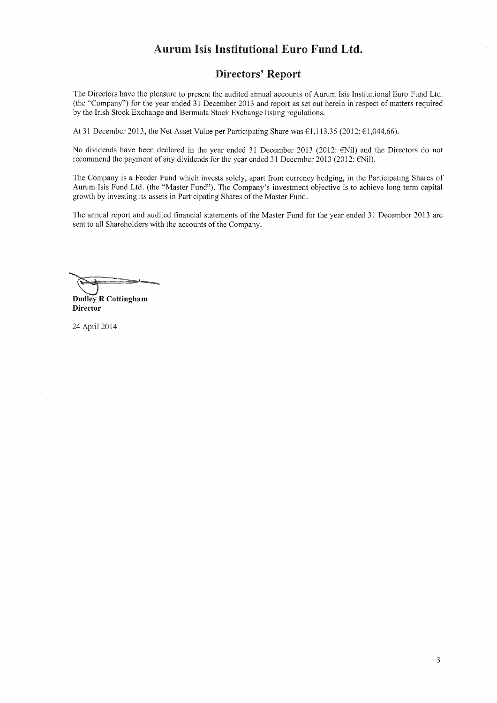#### **Directors' Report**

The Directors have the pleasure to present the audited annual accounts of Aurum Isis Institutional Euro Fund Ltd. (the "Company") for the year ended 31 December 2013 and report as set out herein in respect of matters required by the Irish Stock Exchange and Bermuda Stock Exchange listing regulations.

At 31 December 2013, the Net Asset Value per Participating Share was  $\epsilon$ 1,113.35 (2012:  $\epsilon$ 1,044.66).

No dividends have been declared in the year ended 31 December 2013 (2012: ENil) and the Directors do not recommend the payment of any dividends for the year ended 31 December 2013 (2012:  $\in$ Nil).

The Company is a Feeder Fund which invests solely, apart from currency hedging, in the Participating Shares of Aurum Isis Fund Ltd. (the "Master Fund"). The Company's investment objective is to achieve long term capital growth by investing its assets in Participating Shares of the Master Fund.

The annual report and audited financial statements of the Master Fund for the year ended 31 December 2013 are sent to all Shareholders with the accounts of the Company.

**Dudley R Cottingham Director** 

24 April 2014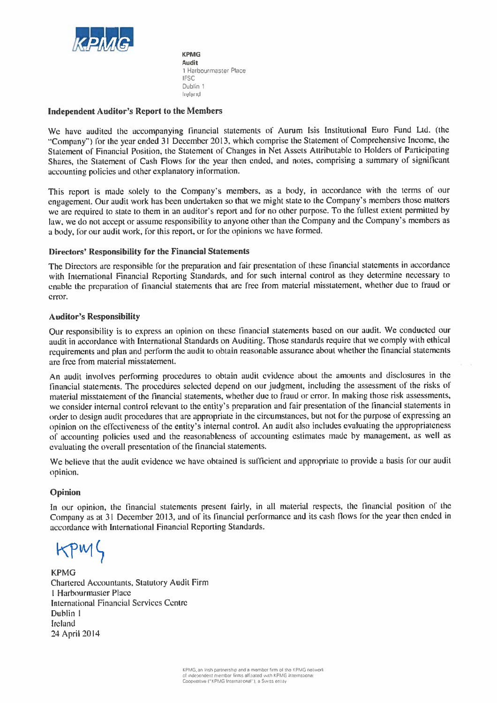

**KPMG Audit** 1 Harbourmaster Place **IFSC** Dublin 1 Ireland

#### **Independent Auditor's Report to the Members**

We have audited the accompanying financial statements of Aurum Isis Institutional Euro Fund Ltd. (the "Company") for the year ended 31 December 2013, which comprise the Statement of Comprehensive Income, the Statement of Financial Position, the Statement of Changes in Net Assets Attributable to Holders of Participating Shares, the Statement of Cash Flows for the year then ended, and notes, comprising a summary of significant accounting policies and other explanatory information.

This report is made solely to the Company's members, as a body, in accordance with the terms of our engagement. Our audit work has been undertaken so that we might state to the Company's members those matters we are required to state to them in an auditor's report and for no other purpose. To the fullest extent permitted by law, we do not accept or assume responsibility to anyone other than the Company and the Company's members as a body, for our audit work, for this report, or for the opinions we have formed.

#### **Directors' Responsibility for the Financial Statements**

The Directors are responsible for the preparation and fair presentation of these financial statements in accordance with International Financial Reporting Standards, and for such internal control as they determine necessary to enable the preparation of financial statements that are free from material misstatement, whether due to fraud or error.

#### **Auditor's Responsibility**

Our responsibility is to express an opinion on these financial statements based on our audit. We conducted our audit in accordance with International Standards on Auditing. Those standards require that we comply with ethical requirements and plan and perform the audit to obtain reasonable assurance about whether the financial statements are free from material misstatement.

An audit involves performing procedures to obtain audit evidence about the amounts and disclosures in the financial statements. The procedures selected depend on our judgment, including the assessment of the risks of material misstatement of the financial statements, whether due to fraud or error. In making those risk assessments, we consider internal control relevant to the entity's preparation and fair presentation of the financial statements in order to design audit procedures that are appropriate in the circumstances, but not for the purpose of expressing an opinion on the effectiveness of the entity's internal control. An audit also includes evaluating the appropriateness of accounting policies used and the reasonableness of accounting estimates made by management, as well as evaluating the overall presentation of the financial statements.

We believe that the audit evidence we have obtained is sufficient and appropriate to provide a basis for our audit opinion.

#### Opinion

In our opinion, the financial statements present fairly, in all material respects, the financial position of the Company as at 31 December 2013, and of its financial performance and its cash flows for the year then ended in accordance with International Financial Reporting Standards.

 $KPMS$ 

**KPMG Chartered Accountants, Statutory Audit Firm** 1 Harbourmaster Place **International Financial Services Centre** Dublin 1 Ireland 24 April 2014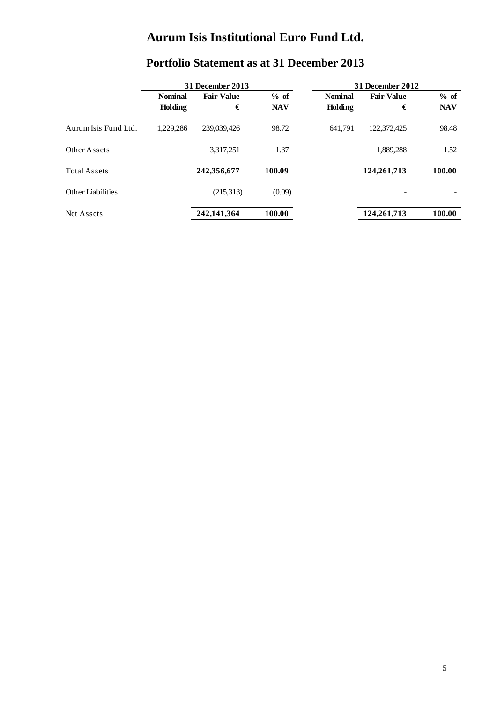|                      |                | <b>31 December 2013</b> |            |                | 31 December 2012  |            |  |
|----------------------|----------------|-------------------------|------------|----------------|-------------------|------------|--|
|                      | <b>Nominal</b> | <b>Fair Value</b>       | $%$ of     | <b>Nominal</b> | <b>Fair Value</b> | % of       |  |
|                      | Holding        | €                       | <b>NAV</b> | Holding        | €                 | <b>NAV</b> |  |
| Aurum Isis Fund Ltd. | 1.229.286      | 239,039,426             | 98.72      | 641.791        | 122,372,425       | 98.48      |  |
| Other Assets         |                | 3,317,251               | 1.37       |                | 1,889,288         | 1.52       |  |
| <b>Total Assets</b>  |                | 242,356,677             | 100.09     |                | 124, 261, 713     | 100.00     |  |
| Other Liabilities    |                | (215,313)               | (0.09)     |                |                   |            |  |
| Net Assets           |                | 242,141,364             | 100.00     |                | 124,261,713       | 100.00     |  |

# **Portfolio Statement as at 31 December 2013**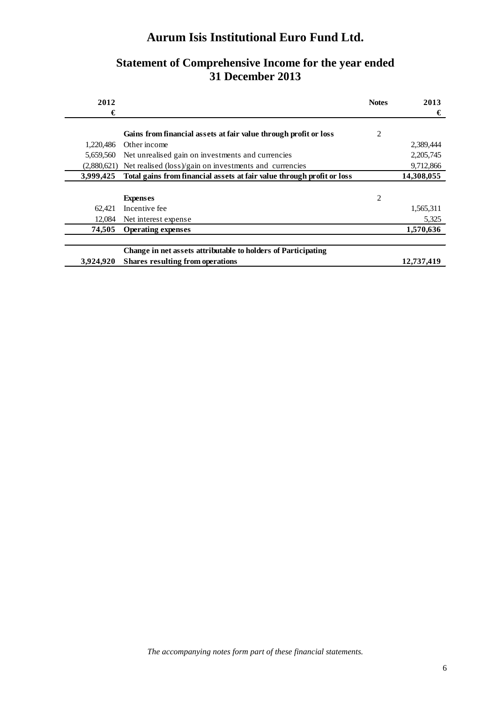### **Statement of Comprehensive Income for the year ended 31 December 2013**

| 2012        |                                                                        | <b>Notes</b>   | 2013       |
|-------------|------------------------------------------------------------------------|----------------|------------|
| €           |                                                                        |                | €          |
|             | Gains from financial assets at fair value through profit or loss       | $\overline{c}$ |            |
| 1.220.486   | Other income                                                           |                | 2,389,444  |
|             |                                                                        |                |            |
| 5,659,560   | Net unrealised gain on investments and currencies                      |                | 2,205,745  |
| (2,880,621) | Net realised (loss)/gain on investments and currencies                 |                | 9,712,866  |
| 3,999,425   | Total gains from financial assets at fair value through profit or loss |                | 14,308,055 |
|             |                                                                        |                |            |
|             | <b>Expenses</b>                                                        | $\overline{2}$ |            |
| 62.421      | Incentive fee                                                          |                | 1,565,311  |
| 12.084      | Net interest expense                                                   |                | 5,325      |
| 74.505      | <b>Operating expenses</b>                                              |                | 1,570,636  |
|             | Change in net assets attributable to holders of Participating          |                |            |
| 3,924,920   | <b>Shares resulting from operations</b>                                |                | 12.737.419 |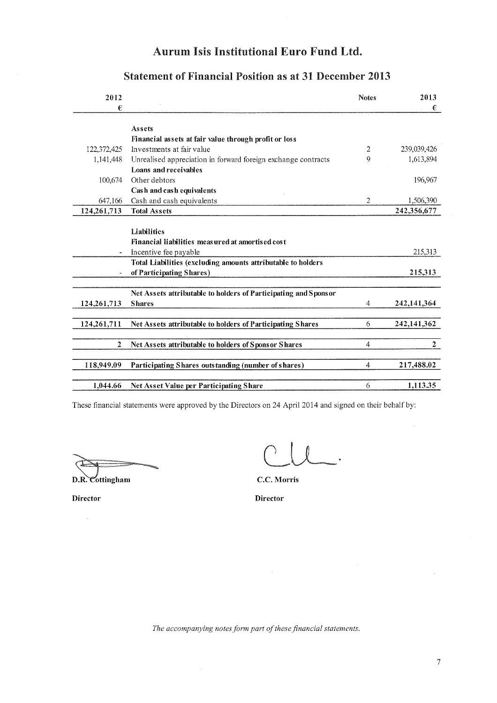| 2012             |                                                                 | <b>Notes</b>   | 2013          |
|------------------|-----------------------------------------------------------------|----------------|---------------|
| €                |                                                                 |                | €             |
|                  | Assets                                                          |                |               |
|                  | Financial assets at fair value through profit or loss           |                |               |
| 122,372,425      | Investments at fair value                                       | 2              | 239,039,426   |
| 1,141,448        | Unrealised appreciation in forward foreign exchange contracts   | 9              | 1,613,894     |
|                  | Loans and receivables                                           |                |               |
| 100,674          | Other debtors                                                   |                | 196,967       |
|                  | Cash and cash equivalents                                       |                |               |
| 647,166          | Cash and cash equivalents                                       | 2              | 1,506,390     |
| 124,261,713      | <b>Total Assets</b>                                             |                | 242,356,677   |
|                  |                                                                 |                |               |
|                  | Liabilities                                                     |                |               |
|                  | Financial liabilities measured at amortised cost                |                |               |
| $\blacksquare$   | Incentive fee payable                                           |                | 215,313       |
|                  | Total Liabilities (excluding amounts attributable to holders    |                |               |
|                  | of Participating Shares)                                        |                | 215,313       |
|                  |                                                                 |                |               |
|                  | Net Assets attributable to holders of Participating and Sponsor |                |               |
| 124, 261, 713    | <b>Shares</b>                                                   | 4              | 242, 141, 364 |
|                  |                                                                 |                |               |
| 124,261,711      | Net Assets attributable to holders of Participating Shares      | 6              | 242,141,362   |
|                  |                                                                 |                |               |
| $\boldsymbol{2}$ | Net Assets attributable to holders of Sponsor Shares            | $\overline{4}$ | $\mathbf{2}$  |
|                  |                                                                 |                |               |
| 118,949.09       | Participating Shares outstanding (number of shares)             | 4              | 217,488.02    |
|                  |                                                                 |                |               |
| 1,044.66         | Net Asset Value per Participating Share                         | 6              | 1,113.35      |

### **Statement of Financial Position as at 31 December 2013**

These financial statements were approved by the Directors on 24 April 2014 and signed on their behalf by:

D.R. Cottingham

C.C. Morris

**Director** 

**Director** 

The accompanying notes form part of these financial statements.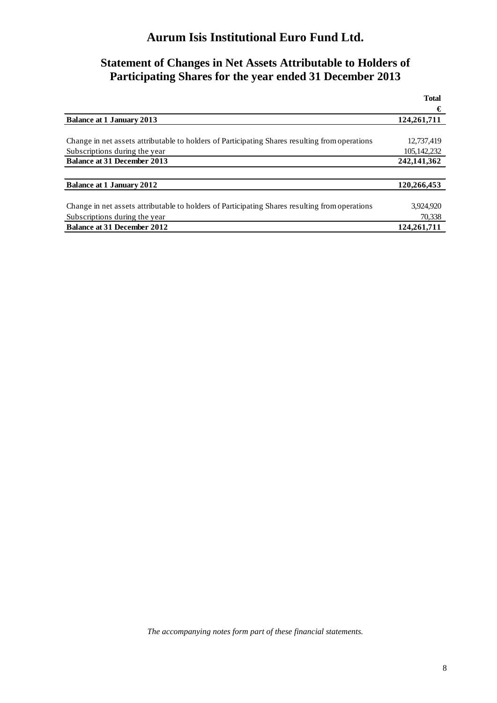## **Statement of Changes in Net Assets Attributable to Holders of Participating Shares for the year ended 31 December 2013**

|                                                                                                | <b>Total</b> |
|------------------------------------------------------------------------------------------------|--------------|
|                                                                                                | €            |
| <b>Balance at 1 January 2013</b>                                                               | 124,261,711  |
|                                                                                                |              |
| Change in net assets attributable to holders of Participating Shares resulting from operations | 12,737,419   |
| Subscriptions during the year                                                                  | 105.142.232  |
| <b>Balance at 31 December 2013</b>                                                             | 242,141,362  |
|                                                                                                |              |
| <b>Balance at 1 January 2012</b>                                                               | 120,266,453  |
|                                                                                                |              |
| Change in net assets attributable to holders of Participating Shares resulting from operations | 3,924,920    |
| Subscriptions during the year                                                                  | 70,338       |
| <b>Balance at 31 December 2012</b>                                                             | 124,261,711  |

*The accompanying notes form part of these financial statements.*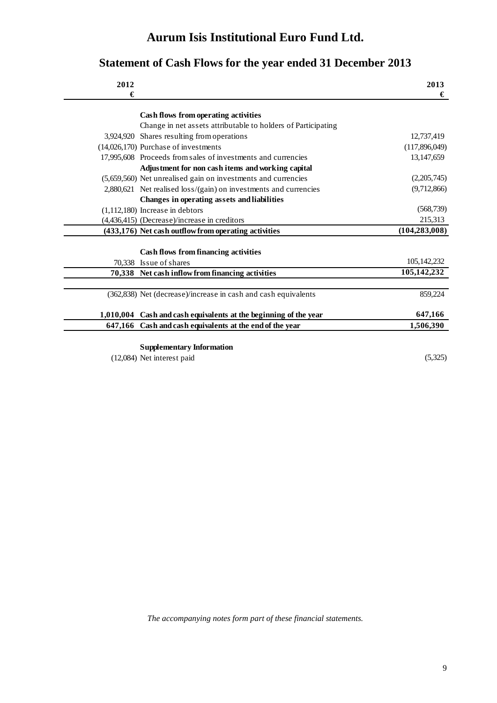# **Statement of Cash Flows for the year ended 31 December 2013**

| 2012<br>€ |                                                                  | 2013<br>€       |
|-----------|------------------------------------------------------------------|-----------------|
|           |                                                                  |                 |
|           | Cash flows from operating activities                             |                 |
|           | Change in net assets attributable to holders of Participating    |                 |
|           | 3,924,920 Shares resulting from operations                       | 12,737,419      |
|           | (14,026,170) Purchase of investments                             | (117,896,049)   |
|           | 17,995,608 Proceeds from sales of investments and currencies     | 13, 147, 659    |
|           | Adjustment for non cash items and working capital                |                 |
|           | (5,659,560) Net unrealised gain on investments and currencies    | (2,205,745)     |
|           | 2,880,621 Net realised loss/(gain) on investments and currencies | (9,712,866)     |
|           | Changes in operating assets and liabilities                      |                 |
|           | $(1,112,180)$ Increase in debtors                                | (568, 739)      |
|           | (4,436,415) (Decrease)/increase in creditors                     | 215,313         |
|           | (433,176) Net cash outflow from operating activities             | (104, 283, 008) |
|           |                                                                  |                 |
|           | Cash flows from financing activities                             |                 |
|           | 70,338 Issue of shares                                           | 105,142,232     |
|           | 70,338 Net cash inflow from financing activities                 | 105,142,232     |
|           |                                                                  |                 |
|           | (362,838) Net (decrease)/increase in cash and cash equivalents   | 859,224         |
| 1,010,004 | Cash and cash equivalents at the beginning of the year           | 647,166         |
| 647,166   |                                                                  | 1,506,390       |
|           | Cash and cash equivalents at the end of the year                 |                 |
|           | <b>Supplementary Information</b>                                 |                 |
|           | $(12,084)$ Net interest paid                                     | (5,325)         |
|           |                                                                  |                 |

*The accompanying notes form part of these financial statements.*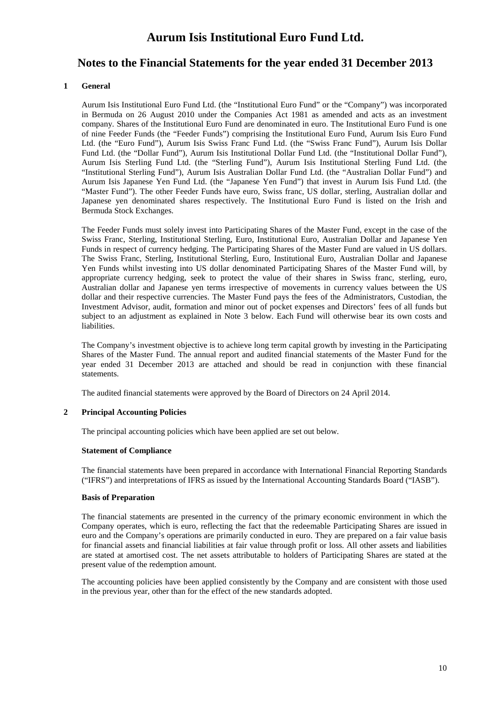### **Notes to the Financial Statements for the year ended 31 December 2013**

#### **1 General**

Aurum Isis Institutional Euro Fund Ltd. (the "Institutional Euro Fund" or the "Company") was incorporated in Bermuda on 26 August 2010 under the Companies Act 1981 as amended and acts as an investment company. Shares of the Institutional Euro Fund are denominated in euro. The Institutional Euro Fund is one of nine Feeder Funds (the "Feeder Funds") comprising the Institutional Euro Fund, Aurum Isis Euro Fund Ltd. (the "Euro Fund"), Aurum Isis Swiss Franc Fund Ltd. (the "Swiss Franc Fund"), Aurum Isis Dollar Fund Ltd. (the "Dollar Fund"), Aurum Isis Institutional Dollar Fund Ltd. (the "Institutional Dollar Fund"), Aurum Isis Sterling Fund Ltd. (the "Sterling Fund"), Aurum Isis Institutional Sterling Fund Ltd. (the "Institutional Sterling Fund"), Aurum Isis Australian Dollar Fund Ltd. (the "Australian Dollar Fund") and Aurum Isis Japanese Yen Fund Ltd. (the "Japanese Yen Fund") that invest in Aurum Isis Fund Ltd. (the "Master Fund"). The other Feeder Funds have euro, Swiss franc, US dollar, sterling, Australian dollar and Japanese yen denominated shares respectively. The Institutional Euro Fund is listed on the Irish and Bermuda Stock Exchanges.

The Feeder Funds must solely invest into Participating Shares of the Master Fund, except in the case of the Swiss Franc, Sterling, Institutional Sterling, Euro, Institutional Euro, Australian Dollar and Japanese Yen Funds in respect of currency hedging. The Participating Shares of the Master Fund are valued in US dollars. The Swiss Franc, Sterling, Institutional Sterling, Euro, Institutional Euro, Australian Dollar and Japanese Yen Funds whilst investing into US dollar denominated Participating Shares of the Master Fund will, by appropriate currency hedging, seek to protect the value of their shares in Swiss franc, sterling, euro, Australian dollar and Japanese yen terms irrespective of movements in currency values between the US dollar and their respective currencies. The Master Fund pays the fees of the Administrators, Custodian, the Investment Advisor, audit, formation and minor out of pocket expenses and Directors' fees of all funds but subject to an adjustment as explained in Note 3 below. Each Fund will otherwise bear its own costs and liabilities.

The Company's investment objective is to achieve long term capital growth by investing in the Participating Shares of the Master Fund. The annual report and audited financial statements of the Master Fund for the year ended 31 December 2013 are attached and should be read in conjunction with these financial statements.

The audited financial statements were approved by the Board of Directors on 24 April 2014.

#### **2 Principal Accounting Policies**

The principal accounting policies which have been applied are set out below.

#### **Statement of Compliance**

The financial statements have been prepared in accordance with International Financial Reporting Standards ("IFRS") and interpretations of IFRS as issued by the International Accounting Standards Board ("IASB").

#### **Basis of Preparation**

The financial statements are presented in the currency of the primary economic environment in which the Company operates, which is euro, reflecting the fact that the redeemable Participating Shares are issued in euro and the Company's operations are primarily conducted in euro. They are prepared on a fair value basis for financial assets and financial liabilities at fair value through profit or loss. All other assets and liabilities are stated at amortised cost. The net assets attributable to holders of Participating Shares are stated at the present value of the redemption amount.

The accounting policies have been applied consistently by the Company and are consistent with those used in the previous year, other than for the effect of the new standards adopted.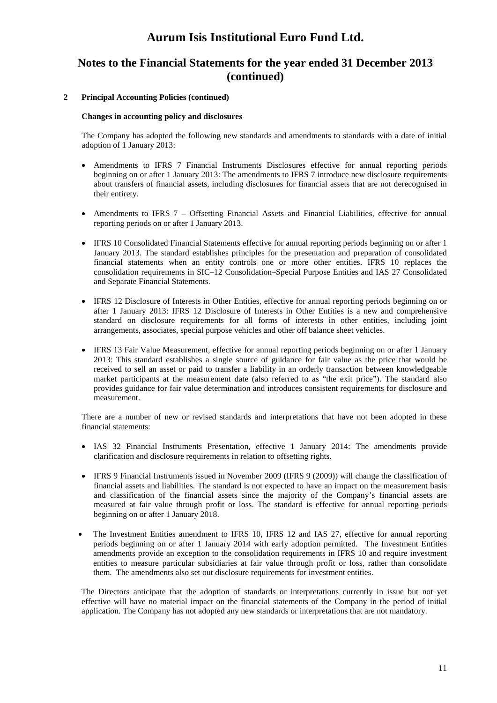### **Notes to the Financial Statements for the year ended 31 December 2013 (continued)**

#### **2 Principal Accounting Policies (continued)**

#### **Changes in accounting policy and disclosures**

The Company has adopted the following new standards and amendments to standards with a date of initial adoption of 1 January 2013:

- Amendments to IFRS 7 Financial Instruments Disclosures effective for annual reporting periods beginning on or after 1 January 2013: The amendments to IFRS 7 introduce new disclosure requirements about transfers of financial assets, including disclosures for financial assets that are not derecognised in their entirety.
- Amendments to IFRS 7 Offsetting Financial Assets and Financial Liabilities, effective for annual reporting periods on or after 1 January 2013.
- IFRS 10 Consolidated Financial Statements effective for annual reporting periods beginning on or after 1 January 2013. The standard establishes principles for the presentation and preparation of consolidated financial statements when an entity controls one or more other entities. IFRS 10 replaces the consolidation requirements in SIC–12 Consolidation–Special Purpose Entities and IAS 27 Consolidated and Separate Financial Statements.
- IFRS 12 Disclosure of Interests in Other Entities, effective for annual reporting periods beginning on or after 1 January 2013: IFRS 12 Disclosure of Interests in Other Entities is a new and comprehensive standard on disclosure requirements for all forms of interests in other entities, including joint arrangements, associates, special purpose vehicles and other off balance sheet vehicles.
- IFRS 13 Fair Value Measurement, effective for annual reporting periods beginning on or after 1 January 2013: This standard establishes a single source of guidance for fair value as the price that would be received to sell an asset or paid to transfer a liability in an orderly transaction between knowledgeable market participants at the measurement date (also referred to as "the exit price"). The standard also provides guidance for fair value determination and introduces consistent requirements for disclosure and measurement.

There are a number of new or revised standards and interpretations that have not been adopted in these financial statements:

- IAS 32 Financial Instruments Presentation, effective 1 January 2014: The amendments provide clarification and disclosure requirements in relation to offsetting rights.
- IFRS 9 Financial Instruments issued in November 2009 (IFRS 9 (2009)) will change the classification of financial assets and liabilities. The standard is not expected to have an impact on the measurement basis and classification of the financial assets since the majority of the Company's financial assets are measured at fair value through profit or loss. The standard is effective for annual reporting periods beginning on or after 1 January 2018.
- The Investment Entities amendment to IFRS 10, IFRS 12 and IAS 27, effective for annual reporting periods beginning on or after 1 January 2014 with early adoption permitted. The Investment Entities amendments provide an exception to the consolidation requirements in IFRS 10 and require investment entities to measure particular subsidiaries at fair value through profit or loss, rather than consolidate them. The amendments also set out disclosure requirements for investment entities.

The Directors anticipate that the adoption of standards or interpretations currently in issue but not yet effective will have no material impact on the financial statements of the Company in the period of initial application. The Company has not adopted any new standards or interpretations that are not mandatory.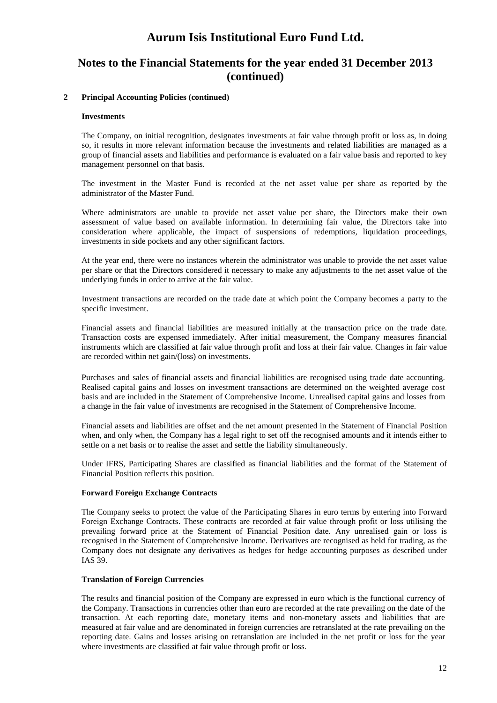### **Notes to the Financial Statements for the year ended 31 December 2013 (continued)**

#### **2 Principal Accounting Policies (continued)**

#### **Investments**

The Company, on initial recognition, designates investments at fair value through profit or loss as, in doing so, it results in more relevant information because the investments and related liabilities are managed as a group of financial assets and liabilities and performance is evaluated on a fair value basis and reported to key management personnel on that basis.

The investment in the Master Fund is recorded at the net asset value per share as reported by the administrator of the Master Fund.

Where administrators are unable to provide net asset value per share, the Directors make their own assessment of value based on available information. In determining fair value, the Directors take into consideration where applicable, the impact of suspensions of redemptions, liquidation proceedings, investments in side pockets and any other significant factors.

At the year end, there were no instances wherein the administrator was unable to provide the net asset value per share or that the Directors considered it necessary to make any adjustments to the net asset value of the underlying funds in order to arrive at the fair value.

Investment transactions are recorded on the trade date at which point the Company becomes a party to the specific investment.

Financial assets and financial liabilities are measured initially at the transaction price on the trade date. Transaction costs are expensed immediately. After initial measurement, the Company measures financial instruments which are classified at fair value through profit and loss at their fair value. Changes in fair value are recorded within net gain/(loss) on investments.

Purchases and sales of financial assets and financial liabilities are recognised using trade date accounting. Realised capital gains and losses on investment transactions are determined on the weighted average cost basis and are included in the Statement of Comprehensive Income. Unrealised capital gains and losses from a change in the fair value of investments are recognised in the Statement of Comprehensive Income.

Financial assets and liabilities are offset and the net amount presented in the Statement of Financial Position when, and only when, the Company has a legal right to set off the recognised amounts and it intends either to settle on a net basis or to realise the asset and settle the liability simultaneously.

Under IFRS, Participating Shares are classified as financial liabilities and the format of the Statement of Financial Position reflects this position.

#### **Forward Foreign Exchange Contracts**

The Company seeks to protect the value of the Participating Shares in euro terms by entering into Forward Foreign Exchange Contracts. These contracts are recorded at fair value through profit or loss utilising the prevailing forward price at the Statement of Financial Position date. Any unrealised gain or loss is recognised in the Statement of Comprehensive Income. Derivatives are recognised as held for trading, as the Company does not designate any derivatives as hedges for hedge accounting purposes as described under IAS 39.

#### **Translation of Foreign Currencies**

The results and financial position of the Company are expressed in euro which is the functional currency of the Company. Transactions in currencies other than euro are recorded at the rate prevailing on the date of the transaction. At each reporting date, monetary items and non-monetary assets and liabilities that are measured at fair value and are denominated in foreign currencies are retranslated at the rate prevailing on the reporting date. Gains and losses arising on retranslation are included in the net profit or loss for the year where investments are classified at fair value through profit or loss.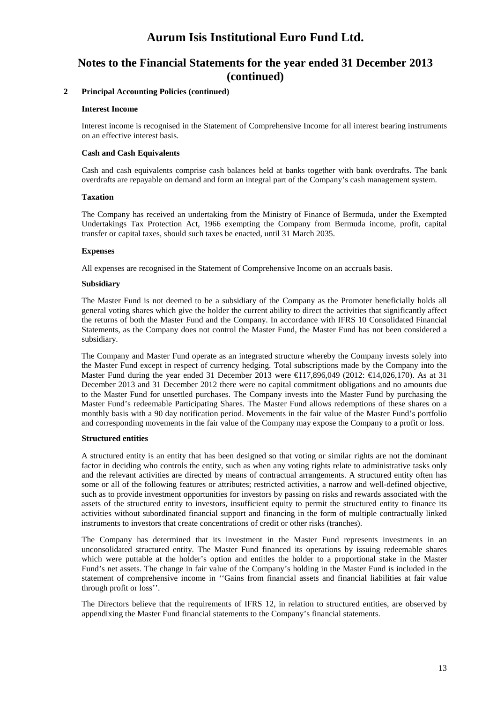### **Notes to the Financial Statements for the year ended 31 December 2013 (continued)**

#### **2 Principal Accounting Policies (continued)**

#### **Interest Income**

Interest income is recognised in the Statement of Comprehensive Income for all interest bearing instruments on an effective interest basis.

#### **Cash and Cash Equivalents**

Cash and cash equivalents comprise cash balances held at banks together with bank overdrafts. The bank overdrafts are repayable on demand and form an integral part of the Company's cash management system.

#### **Taxation**

The Company has received an undertaking from the Ministry of Finance of Bermuda, under the Exempted Undertakings Tax Protection Act, 1966 exempting the Company from Bermuda income, profit, capital transfer or capital taxes, should such taxes be enacted, until 31 March 2035.

#### **Expenses**

All expenses are recognised in the Statement of Comprehensive Income on an accruals basis.

#### **Subsidiary**

The Master Fund is not deemed to be a subsidiary of the Company as the Promoter beneficially holds all general voting shares which give the holder the current ability to direct the activities that significantly affect the returns of both the Master Fund and the Company. In accordance with IFRS 10 Consolidated Financial Statements, as the Company does not control the Master Fund, the Master Fund has not been considered a subsidiary.

The Company and Master Fund operate as an integrated structure whereby the Company invests solely into the Master Fund except in respect of currency hedging. Total subscriptions made by the Company into the Master Fund during the year ended 31 December 2013 were  $\bigoplus$  17,896,049 (2012:  $\bigoplus$  4,026,170). As at 31 December 2013 and 31 December 2012 there were no capital commitment obligations and no amounts due to the Master Fund for unsettled purchases. The Company invests into the Master Fund by purchasing the Master Fund's redeemable Participating Shares. The Master Fund allows redemptions of these shares on a monthly basis with a 90 day notification period. Movements in the fair value of the Master Fund's portfolio and corresponding movements in the fair value of the Company may expose the Company to a profit or loss.

#### **Structured entities**

A structured entity is an entity that has been designed so that voting or similar rights are not the dominant factor in deciding who controls the entity, such as when any voting rights relate to administrative tasks only and the relevant activities are directed by means of contractual arrangements. A structured entity often has some or all of the following features or attributes; restricted activities, a narrow and well-defined objective, such as to provide investment opportunities for investors by passing on risks and rewards associated with the assets of the structured entity to investors, insufficient equity to permit the structured entity to finance its activities without subordinated financial support and financing in the form of multiple contractually linked instruments to investors that create concentrations of credit or other risks (tranches).

The Company has determined that its investment in the Master Fund represents investments in an unconsolidated structured entity. The Master Fund financed its operations by issuing redeemable shares which were puttable at the holder's option and entitles the holder to a proportional stake in the Master Fund's net assets. The change in fair value of the Company's holding in the Master Fund is included in the statement of comprehensive income in ''Gains from financial assets and financial liabilities at fair value through profit or loss''.

The Directors believe that the requirements of IFRS 12, in relation to structured entities, are observed by appendixing the Master Fund financial statements to the Company's financial statements.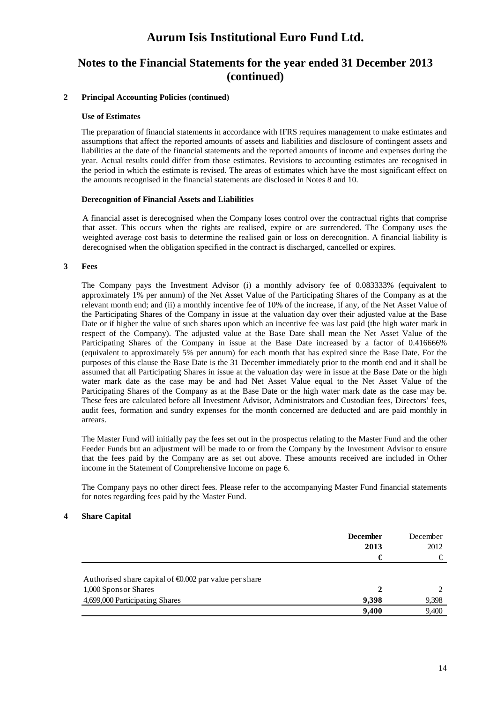### **Notes to the Financial Statements for the year ended 31 December 2013 (continued)**

#### **2 Principal Accounting Policies (continued)**

#### **Use of Estimates**

The preparation of financial statements in accordance with IFRS requires management to make estimates and assumptions that affect the reported amounts of assets and liabilities and disclosure of contingent assets and liabilities at the date of the financial statements and the reported amounts of income and expenses during the year. Actual results could differ from those estimates. Revisions to accounting estimates are recognised in the period in which the estimate is revised. The areas of estimates which have the most significant effect on the amounts recognised in the financial statements are disclosed in Notes 8 and 10.

#### **Derecognition of Financial Assets and Liabilities**

A financial asset is derecognised when the Company loses control over the contractual rights that comprise that asset. This occurs when the rights are realised, expire or are surrendered. The Company uses the weighted average cost basis to determine the realised gain or loss on derecognition. A financial liability is derecognised when the obligation specified in the contract is discharged, cancelled or expires.

#### **3 Fees**

The Company pays the Investment Advisor (i) a monthly advisory fee of 0.083333% (equivalent to approximately 1% per annum) of the Net Asset Value of the Participating Shares of the Company as at the relevant month end; and (ii) a monthly incentive fee of 10% of the increase, if any, of the Net Asset Value of the Participating Shares of the Company in issue at the valuation day over their adjusted value at the Base Date or if higher the value of such shares upon which an incentive fee was last paid (the high water mark in respect of the Company). The adjusted value at the Base Date shall mean the Net Asset Value of the Participating Shares of the Company in issue at the Base Date increased by a factor of 0.416666% (equivalent to approximately 5% per annum) for each month that has expired since the Base Date. For the purposes of this clause the Base Date is the 31 December immediately prior to the month end and it shall be assumed that all Participating Shares in issue at the valuation day were in issue at the Base Date or the high water mark date as the case may be and had Net Asset Value equal to the Net Asset Value of the Participating Shares of the Company as at the Base Date or the high water mark date as the case may be. These fees are calculated before all Investment Advisor, Administrators and Custodian fees, Directors' fees, audit fees, formation and sundry expenses for the month concerned are deducted and are paid monthly in arrears.

The Master Fund will initially pay the fees set out in the prospectus relating to the Master Fund and the other Feeder Funds but an adjustment will be made to or from the Company by the Investment Advisor to ensure that the fees paid by the Company are as set out above. These amounts received are included in Other income in the Statement of Comprehensive Income on page 6.

The Company pays no other direct fees. Please refer to the accompanying Master Fund financial statements for notes regarding fees paid by the Master Fund.

#### **4 Share Capital**

|                                                                  | <b>December</b><br>2013 | December<br>2012 |
|------------------------------------------------------------------|-------------------------|------------------|
|                                                                  | €                       | €                |
| Authorised share capital of $\epsilon 0.002$ par value per share |                         |                  |
| 1,000 Sponsor Shares                                             |                         |                  |
| 4,699,000 Participating Shares                                   | 9.398                   | 9,398            |
|                                                                  | 9.400                   | 9,400            |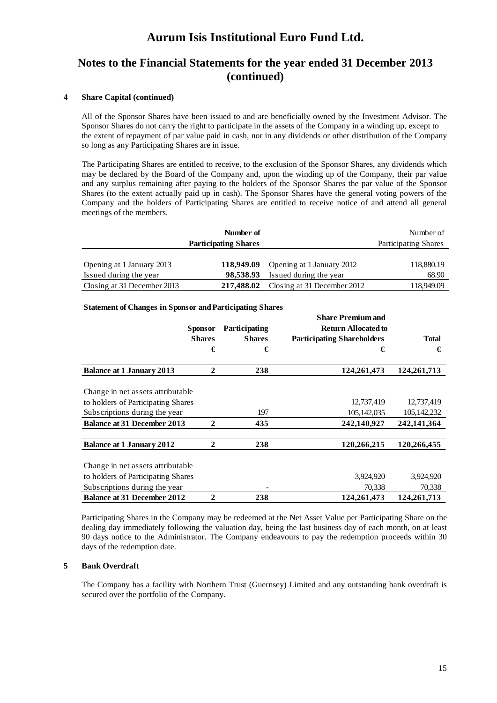### **Notes to the Financial Statements for the year ended 31 December 2013 (continued)**

#### **4 Share Capital (continued)**

All of the Sponsor Shares have been issued to and are beneficially owned by the Investment Advisor. The Sponsor Shares do not carry the right to participate in the assets of the Company in a winding up, except to the extent of repayment of par value paid in cash, nor in any dividends or other distribution of the Company so long as any Participating Shares are in issue.

The Participating Shares are entitled to receive, to the exclusion of the Sponsor Shares, any dividends which may be declared by the Board of the Company and, upon the winding up of the Company, their par value and any surplus remaining after paying to the holders of the Sponsor Shares the par value of the Sponsor Shares (to the extent actually paid up in cash). The Sponsor Shares have the general voting powers of the Company and the holders of Participating Shares are entitled to receive notice of and attend all general meetings of the members.

|                             | Number of                   |                             | Number of                   |
|-----------------------------|-----------------------------|-----------------------------|-----------------------------|
|                             | <b>Participating Shares</b> |                             | <b>Participating Shares</b> |
|                             |                             |                             |                             |
| Opening at 1 January 2013   | 118,949.09                  | Opening at 1 January 2012   | 118,880.19                  |
| Issued during the year      | 98,538.93                   | Issued during the year      | 68.90                       |
| Closing at 31 December 2013 | 217,488.02                  | Closing at 31 December 2012 | 118,949.09                  |

#### **Statement of Changes in Sponsor and Participating Shares**

|                                    |                |               | <b>Share Premium and</b>          |               |
|------------------------------------|----------------|---------------|-----------------------------------|---------------|
|                                    | <b>Sponsor</b> | Participating | <b>Return Allocated to</b>        |               |
|                                    | <b>Shares</b>  | <b>Shares</b> | <b>Participating Shareholders</b> | <b>Total</b>  |
|                                    | €              | €             | €                                 | €             |
| <b>Balance at 1 January 2013</b>   | $\mathbf{2}$   | 238           | 124,261,473                       | 124,261,713   |
|                                    |                |               |                                   |               |
| Change in net assets attributable  |                |               |                                   |               |
| to holders of Participating Shares |                |               | 12,737,419                        | 12,737,419    |
| Subscriptions during the year      |                | 197           | 105, 142, 035                     | 105, 142, 232 |
| <b>Balance at 31 December 2013</b> | $\mathbf{2}$   | 435           | 242,140,927                       | 242,141,364   |
|                                    |                |               |                                   |               |
| <b>Balance at 1 January 2012</b>   | $\mathbf{2}$   | 238           | 120,266,215                       | 120,266,455   |
|                                    |                |               |                                   |               |
| Change in net assets attributable  |                |               |                                   |               |
| to holders of Participating Shares |                |               | 3,924,920                         | 3,924,920     |
| Subscriptions during the year      |                |               | 70,338                            | 70,338        |
| <b>Balance at 31 December 2012</b> | $\mathbf 2$    | 238           | 124,261,473                       | 124,261,713   |

Participating Shares in the Company may be redeemed at the Net Asset Value per Participating Share on the dealing day immediately following the valuation day, being the last business day of each month, on at least 90 days notice to the Administrator. The Company endeavours to pay the redemption proceeds within 30 days of the redemption date.

#### **5 Bank Overdraft**

The Company has a facility with Northern Trust (Guernsey) Limited and any outstanding bank overdraft is secured over the portfolio of the Company.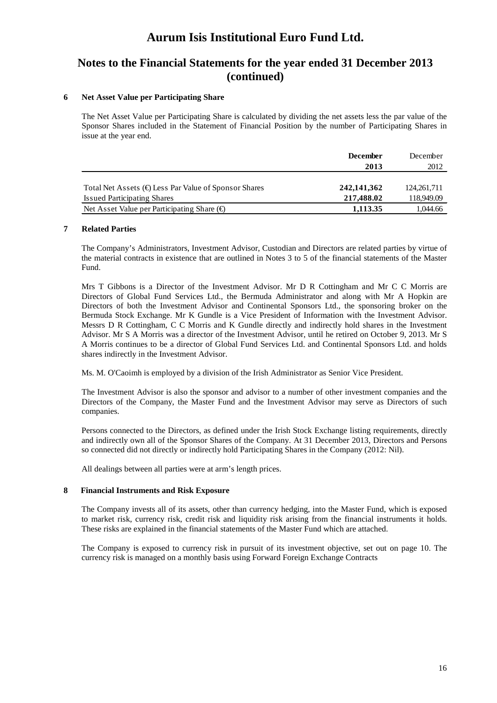### **Notes to the Financial Statements for the year ended 31 December 2013 (continued)**

#### **6 Net Asset Value per Participating Share**

The Net Asset Value per Participating Share is calculated by dividing the net assets less the par value of the Sponsor Shares included in the Statement of Financial Position by the number of Participating Shares in issue at the year end.

|                                                                 | <b>December</b> | December      |
|-----------------------------------------------------------------|-----------------|---------------|
|                                                                 | 2013            | 2012          |
|                                                                 |                 |               |
| Total Net Assets ( $\bigoplus$ Less Par Value of Sponsor Shares | 242,141,362     | 124, 261, 711 |
| <b>Issued Participating Shares</b>                              | 217.488.02      | 118,949.09    |
| Net Asset Value per Participating Share $(\oplus$               | 1,113.35        | 1.044.66      |

#### **7 Related Parties**

The Company's Administrators, Investment Advisor, Custodian and Directors are related parties by virtue of the material contracts in existence that are outlined in Notes 3 to 5 of the financial statements of the Master Fund.

Mrs T Gibbons is a Director of the Investment Advisor. Mr D R Cottingham and Mr C C Morris are Directors of Global Fund Services Ltd., the Bermuda Administrator and along with Mr A Hopkin are Directors of both the Investment Advisor and Continental Sponsors Ltd., the sponsoring broker on the Bermuda Stock Exchange. Mr K Gundle is a Vice President of Information with the Investment Advisor. Messrs D R Cottingham, C C Morris and K Gundle directly and indirectly hold shares in the Investment Advisor. Mr S A Morris was a director of the Investment Advisor, until he retired on October 9, 2013. Mr S A Morris continues to be a director of Global Fund Services Ltd. and Continental Sponsors Ltd. and holds shares indirectly in the Investment Advisor.

Ms. M. O'Caoimh is employed by a division of the Irish Administrator as Senior Vice President.

The Investment Advisor is also the sponsor and advisor to a number of other investment companies and the Directors of the Company, the Master Fund and the Investment Advisor may serve as Directors of such companies.

Persons connected to the Directors, as defined under the Irish Stock Exchange listing requirements, directly and indirectly own all of the Sponsor Shares of the Company. At 31 December 2013, Directors and Persons so connected did not directly or indirectly hold Participating Shares in the Company (2012: Nil).

All dealings between all parties were at arm's length prices.

#### **8 Financial Instruments and Risk Exposure**

The Company invests all of its assets, other than currency hedging, into the Master Fund, which is exposed to market risk, currency risk, credit risk and liquidity risk arising from the financial instruments it holds. These risks are explained in the financial statements of the Master Fund which are attached.

The Company is exposed to currency risk in pursuit of its investment objective, set out on page 10. The currency risk is managed on a monthly basis using Forward Foreign Exchange Contracts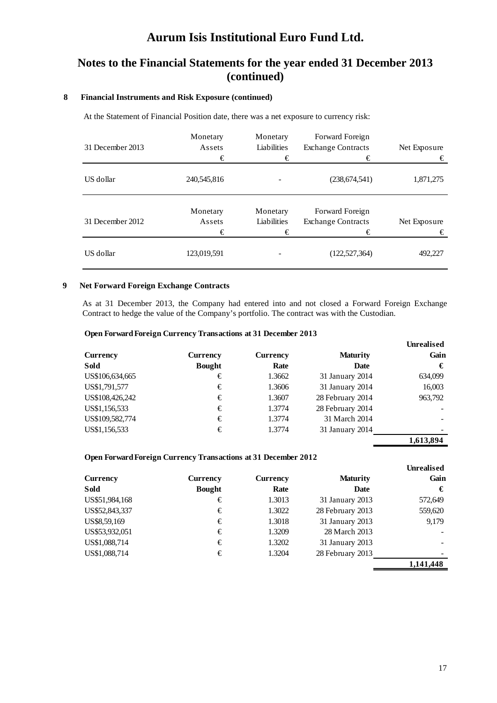### **Notes to the Financial Statements for the year ended 31 December 2013 (continued)**

#### **8 Financial Instruments and Risk Exposure (continued)**

At the Statement of Financial Position date, there was a net exposure to currency risk:

| 31 December 2013 | Monetary<br>Assets<br>€ | Monetary<br>Liabilities<br>€ | Forward Foreign<br><b>Exchange Contracts</b><br>€ | Net Exposure<br>€ |
|------------------|-------------------------|------------------------------|---------------------------------------------------|-------------------|
| US dollar        | 240,545,816             |                              | (238, 674, 541)                                   | 1,871,275         |
| 31 December 2012 | Monetary<br>Assets<br>€ | Monetary<br>Liabilities<br>€ | Forward Foreign<br><b>Exchange Contracts</b><br>€ | Net Exposure<br>€ |
| US dollar        | 123,019,591             |                              | (122, 527, 364)                                   | 492,227           |

#### **9 Net Forward Foreign Exchange Contracts**

As at 31 December 2013, the Company had entered into and not closed a Forward Foreign Exchange Contract to hedge the value of the Company's portfolio. The contract was with the Custodian.

#### **Open Forward Foreign Currency Transactions at 31 December 2013**

| Currency        | Currency      | Currency | <b>Maturity</b>  | Unrealised<br>Gain |
|-----------------|---------------|----------|------------------|--------------------|
| Sold            | <b>Bought</b> | Rate     | <b>Date</b>      | €                  |
| US\$106,634,665 | €             | 1.3662   | 31 January 2014  | 634,099            |
| US\$1,791,577   | €             | 1.3606   | 31 January 2014  | 16,003             |
| US\$108,426,242 | €             | 1.3607   | 28 February 2014 | 963,792            |
| US\$1,156,533   | €             | 1.3774   | 28 February 2014 |                    |
| US\$109,582,774 | €             | 1.3774   | 31 March 2014    |                    |
| US\$1,156,533   | €             | 1.3774   | 31 January 2014  |                    |
|                 |               |          |                  | 1,613,894          |

#### **Open Forward Foreign Currency Transactions at 31 December 2012**

|                |               |          |                  | <b>Unrealised</b> |
|----------------|---------------|----------|------------------|-------------------|
| Currency       | Currency      | Currency | <b>Maturity</b>  | Gain              |
| Sold           | <b>Bought</b> | Rate     | <b>Date</b>      | €                 |
| US\$51,984,168 | €             | 1.3013   | 31 January 2013  | 572,649           |
| US\$52,843,337 | €             | 1.3022   | 28 February 2013 | 559,620           |
| US\$8,59,169   | €             | 1.3018   | 31 January 2013  | 9,179             |
| US\$53,932,051 | €             | 1.3209   | 28 March 2013    |                   |
| US\$1,088,714  | €             | 1.3202   | 31 January 2013  |                   |
| US\$1,088,714  | €             | 1.3204   | 28 February 2013 |                   |
|                |               |          |                  | 1.141.448         |